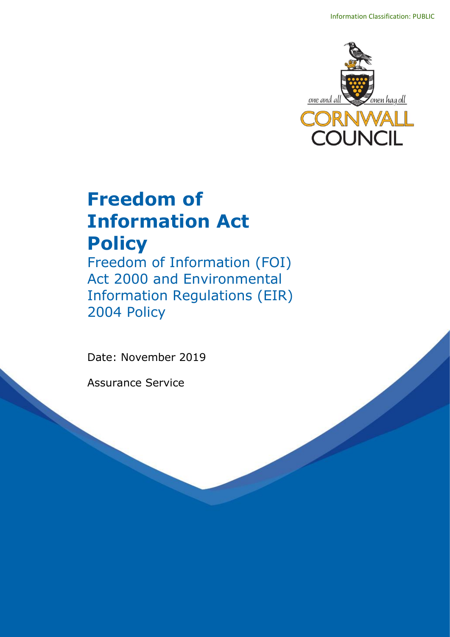

# **Freedom of Information Act Policy**

Freedom of Information (FOI) Act 2000 and Environmental Information Regulations (EIR) 2004 Policy

Date: November 2019

Assurance Service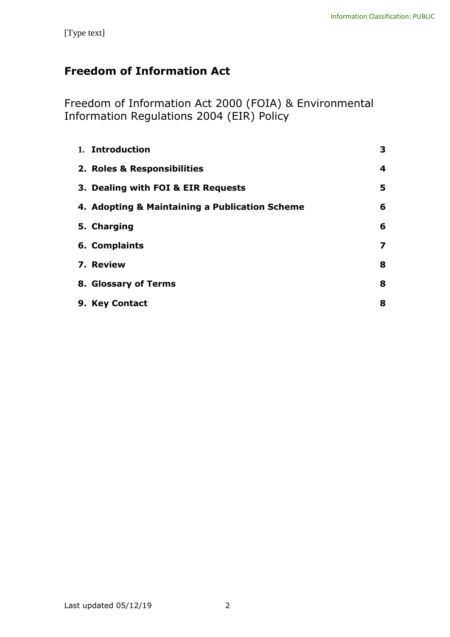# **Freedom of Information Act**

Freedom of Information Act 2000 (FOIA) & Environmental Information Regulations 2004 (EIR) Policy

| 1. Introduction                                | 3 |
|------------------------------------------------|---|
| 2. Roles & Responsibilities                    | 4 |
| 3. Dealing with FOI & EIR Requests             | 5 |
| 4. Adopting & Maintaining a Publication Scheme | 6 |
| 5. Charging                                    | 6 |
| 6. Complaints                                  | 7 |
| 7. Review                                      | 8 |
| 8. Glossary of Terms                           | 8 |
| 9. Key Contact                                 | 8 |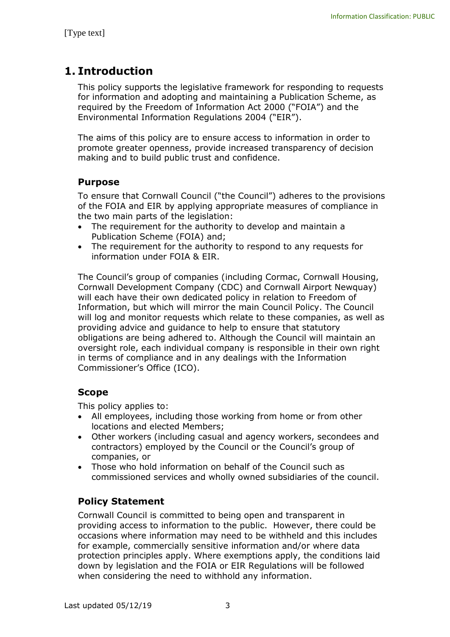# **1. Introduction**

This policy supports the legislative framework for responding to requests for information and adopting and maintaining a Publication Scheme, as required by the Freedom of Information Act 2000 ("FOIA") and the Environmental Information Regulations 2004 ("EIR").

The aims of this policy are to ensure access to information in order to promote greater openness, provide increased transparency of decision making and to build public trust and confidence.

#### **Purpose**

To ensure that Cornwall Council ("the Council") adheres to the provisions of the FOIA and EIR by applying appropriate measures of compliance in the two main parts of the legislation:

- The requirement for the authority to develop and maintain a Publication Scheme (FOIA) and;
- The requirement for the authority to respond to any requests for information under FOIA & EIR.

The Council's group of companies (including Cormac, Cornwall Housing, Cornwall Development Company (CDC) and Cornwall Airport Newquay) will each have their own dedicated policy in relation to Freedom of Information, but which will mirror the main Council Policy. The Council will log and monitor requests which relate to these companies, as well as providing advice and guidance to help to ensure that statutory obligations are being adhered to. Although the Council will maintain an oversight role, each individual company is responsible in their own right in terms of compliance and in any dealings with the Information Commissioner's Office (ICO).

#### **Scope**

This policy applies to:

- All employees, including those working from home or from other locations and elected Members;
- Other workers (including casual and agency workers, secondees and contractors) employed by the Council or the Council's group of companies, or
- Those who hold information on behalf of the Council such as commissioned services and wholly owned subsidiaries of the council.

#### **Policy Statement**

Cornwall Council is committed to being open and transparent in providing access to information to the public. However, there could be occasions where information may need to be withheld and this includes for example, commercially sensitive information and/or where data protection principles apply. Where exemptions apply, the conditions laid down by legislation and the FOIA or EIR Regulations will be followed when considering the need to withhold any information.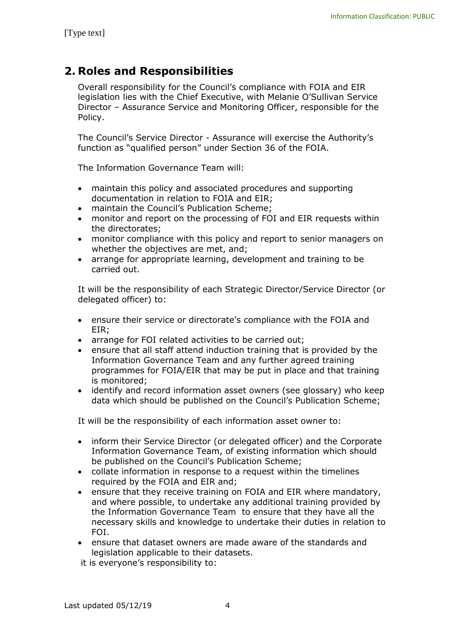## **2. Roles and Responsibilities**

Overall responsibility for the Council's compliance with FOIA and EIR legislation lies with the Chief Executive, with Melanie O'Sullivan Service Director – Assurance Service and Monitoring Officer, responsible for the Policy.

The Council's Service Director - Assurance will exercise the Authority's function as "qualified person" under Section 36 of the FOIA.

The Information Governance Team will:

- maintain this policy and associated procedures and supporting documentation in relation to FOIA and EIR;
- maintain the Council's Publication Scheme;
- monitor and report on the processing of FOI and EIR requests within the directorates;
- monitor compliance with this policy and report to senior managers on whether the objectives are met, and;
- arrange for appropriate learning, development and training to be carried out.

It will be the responsibility of each Strategic Director/Service Director (or delegated officer) to:

- ensure their service or directorate's compliance with the FOIA and EIR;
- arrange for FOI related activities to be carried out;
- ensure that all staff attend induction training that is provided by the Information Governance Team and any further agreed training programmes for FOIA/EIR that may be put in place and that training is monitored;
- identify and record information asset owners (see glossary) who keep data which should be published on the Council's Publication Scheme;

It will be the responsibility of each information asset owner to:

- inform their Service Director (or delegated officer) and the Corporate Information Governance Team, of existing information which should be published on the Council's Publication Scheme;
- collate information in response to a request within the timelines required by the FOIA and EIR and;
- ensure that they receive training on FOIA and EIR where mandatory, and where possible, to undertake any additional training provided by the Information Governance Team to ensure that they have all the necessary skills and knowledge to undertake their duties in relation to FOI.
- ensure that dataset owners are made aware of the standards and legislation applicable to their datasets.

it is everyone's responsibility to: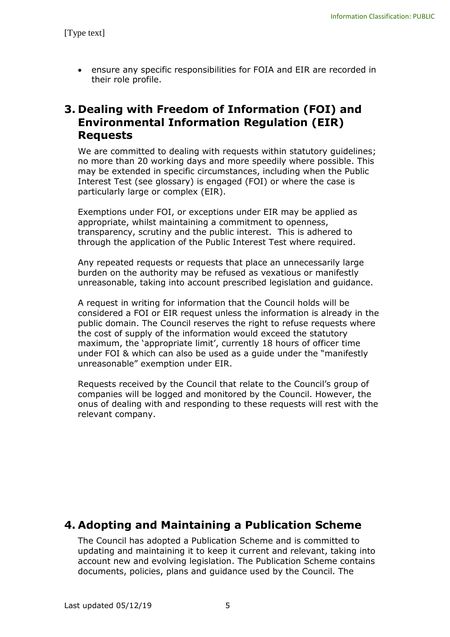ensure any specific responsibilities for FOIA and EIR are recorded in their role profile.

### **3. Dealing with Freedom of Information (FOI) and Environmental Information Regulation (EIR) Requests**

We are committed to dealing with requests within statutory guidelines; no more than 20 working days and more speedily where possible. This may be extended in specific circumstances, including when the Public Interest Test (see glossary) is engaged (FOI) or where the case is particularly large or complex (EIR).

Exemptions under FOI, or exceptions under EIR may be applied as appropriate, whilst maintaining a commitment to openness, transparency, scrutiny and the public interest. This is adhered to through the application of the Public Interest Test where required.

Any repeated requests or requests that place an unnecessarily large burden on the authority may be refused as vexatious or manifestly unreasonable, taking into account prescribed legislation and guidance.

A request in writing for information that the Council holds will be considered a FOI or EIR request unless the information is already in the public domain. The Council reserves the right to refuse requests where the cost of supply of the information would exceed the statutory maximum, the 'appropriate limit', currently 18 hours of officer time under FOI & which can also be used as a guide under the "manifestly unreasonable" exemption under EIR.

Requests received by the Council that relate to the Council's group of companies will be logged and monitored by the Council. However, the onus of dealing with and responding to these requests will rest with the relevant company.

### **4. Adopting and Maintaining a Publication Scheme**

The Council has adopted a Publication Scheme and is committed to updating and maintaining it to keep it current and relevant, taking into account new and evolving legislation. The Publication Scheme contains documents, policies, plans and guidance used by the Council. The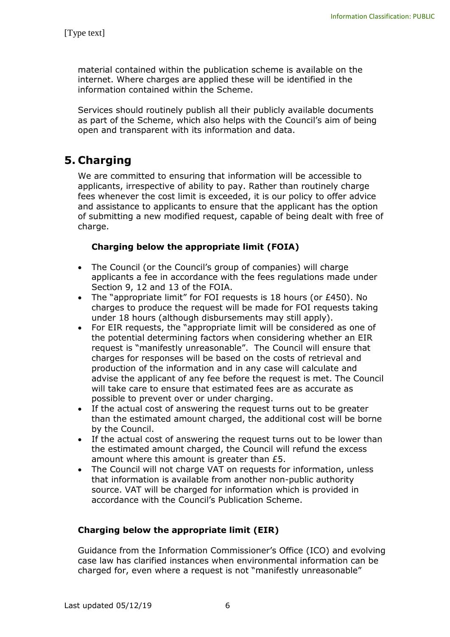material contained within the publication scheme is available on the internet. Where charges are applied these will be identified in the information contained within the Scheme.

Services should routinely publish all their publicly available documents as part of the Scheme, which also helps with the Council's aim of being open and transparent with its information and data.

# **5. Charging**

We are committed to ensuring that information will be accessible to applicants, irrespective of ability to pay. Rather than routinely charge fees whenever the cost limit is exceeded, it is our policy to offer advice and assistance to applicants to ensure that the applicant has the option of submitting a new modified request, capable of being dealt with free of charge.

#### **Charging below the appropriate limit (FOIA)**

- The Council (or the Council's group of companies) will charge applicants a fee in accordance with the fees regulations made under Section 9, 12 and 13 of the FOIA.
- The "appropriate limit" for FOI requests is 18 hours (or £450). No charges to produce the request will be made for FOI requests taking under 18 hours (although disbursements may still apply).
- For EIR requests, the "appropriate limit will be considered as one of the potential determining factors when considering whether an EIR request is "manifestly unreasonable". The Council will ensure that charges for responses will be based on the costs of retrieval and production of the information and in any case will calculate and advise the applicant of any fee before the request is met. The Council will take care to ensure that estimated fees are as accurate as possible to prevent over or under charging.
- If the actual cost of answering the request turns out to be greater than the estimated amount charged, the additional cost will be borne by the Council.
- If the actual cost of answering the request turns out to be lower than the estimated amount charged, the Council will refund the excess amount where this amount is greater than £5.
- The Council will not charge VAT on requests for information, unless that information is available from another non-public authority source. VAT will be charged for information which is provided in accordance with the Council's Publication Scheme.

#### **Charging below the appropriate limit (EIR)**

Guidance from the Information Commissioner's Office (ICO) and evolving case law has clarified instances when environmental information can be charged for, even where a request is not "manifestly unreasonable"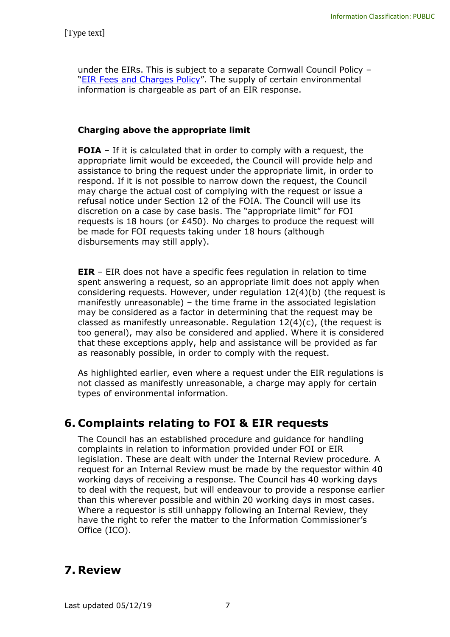under the EIRs. This is subject to a separate Cornwall Council Policy – "[EIR Fees and Charges Policy](http://cornwallcouncilintranet.cc.cornwallonline.net/media/14694155/eir-charging-policy-june-2017.doc)". The supply of certain environmental information is chargeable as part of an EIR response.

#### **Charging above the appropriate limit**

**FOIA** – If it is calculated that in order to comply with a request, the appropriate limit would be exceeded, the Council will provide help and assistance to bring the request under the appropriate limit, in order to respond. If it is not possible to narrow down the request, the Council may charge the actual cost of complying with the request or issue a refusal notice under Section 12 of the FOIA. The Council will use its discretion on a case by case basis. The "appropriate limit" for FOI requests is 18 hours (or £450). No charges to produce the request will be made for FOI requests taking under 18 hours (although disbursements may still apply).

**EIR** – EIR does not have a specific fees regulation in relation to time spent answering a request, so an appropriate limit does not apply when considering requests. However, under regulation 12(4)(b) (the request is manifestly unreasonable) – the time frame in the associated legislation may be considered as a factor in determining that the request may be classed as manifestly unreasonable. Requlation  $12(4)(c)$ , (the request is too general), may also be considered and applied. Where it is considered that these exceptions apply, help and assistance will be provided as far as reasonably possible, in order to comply with the request.

As highlighted earlier, even where a request under the EIR regulations is not classed as manifestly unreasonable, a charge may apply for certain types of environmental information.

## **6. Complaints relating to FOI & EIR requests**

The Council has an established procedure and guidance for handling complaints in relation to information provided under FOI or EIR legislation. These are dealt with under the Internal Review procedure. A request for an Internal Review must be made by the requestor within 40 working days of receiving a response. The Council has 40 working days to deal with the request, but will endeavour to provide a response earlier than this wherever possible and within 20 working days in most cases. Where a requestor is still unhappy following an Internal Review, they have the right to refer the matter to the Information Commissioner's Office (ICO).

## **7. Review**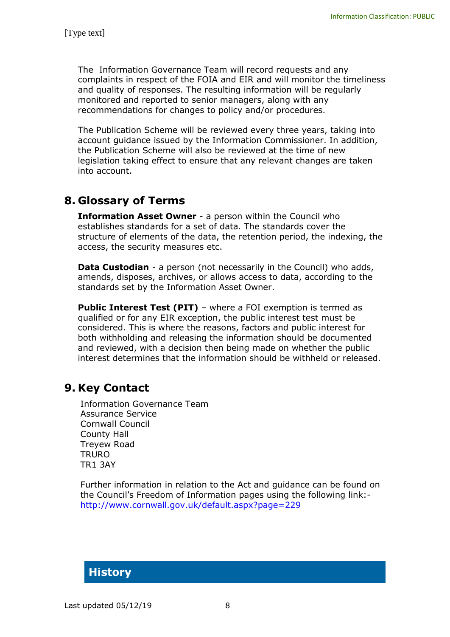The Information Governance Team will record requests and any complaints in respect of the FOIA and EIR and will monitor the timeliness and quality of responses. The resulting information will be regularly monitored and reported to senior managers, along with any recommendations for changes to policy and/or procedures.

The Publication Scheme will be reviewed every three years, taking into account guidance issued by the Information Commissioner. In addition, the Publication Scheme will also be reviewed at the time of new legislation taking effect to ensure that any relevant changes are taken into account.

### **8. Glossary of Terms**

**Information Asset Owner** - a person within the Council who establishes standards for a set of data. The standards cover the structure of elements of the data, the retention period, the indexing, the access, the security measures etc.

**Data Custodian** - a person (not necessarily in the Council) who adds, amends, disposes, archives, or allows access to data, according to the standards set by the Information Asset Owner.

**Public Interest Test (PIT)** – where a FOI exemption is termed as qualified or for any EIR exception, the public interest test must be considered. This is where the reasons, factors and public interest for both withholding and releasing the information should be documented and reviewed, with a decision then being made on whether the public interest determines that the information should be withheld or released.

### **9. Key Contact**

Information Governance Team Assurance Service Cornwall Council County Hall Treyew Road **TRURO** TR1 3AY

Further information in relation to the Act and guidance can be found on the Council's Freedom of Information pages using the following link: <http://www.cornwall.gov.uk/default.aspx?page=229>